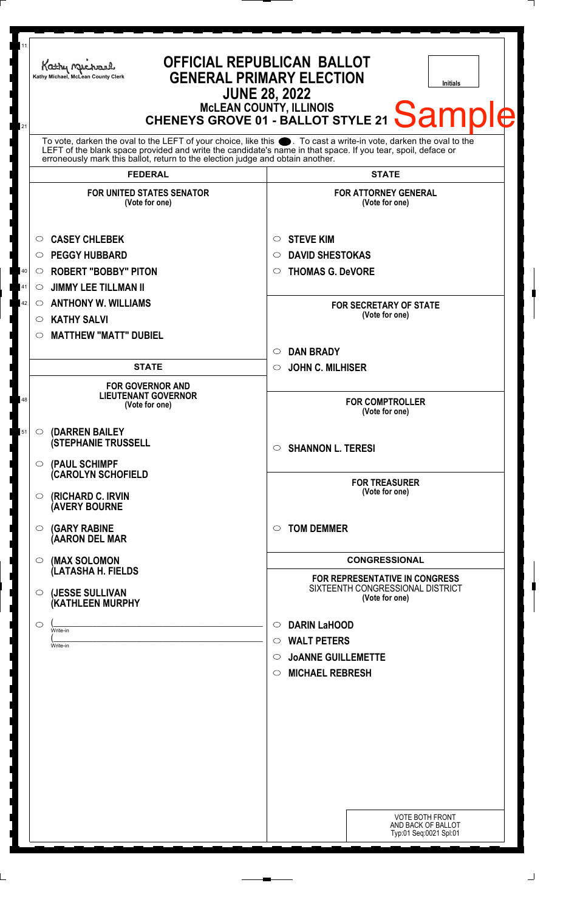| 11<br>21 | Kathy Michael<br>Kathy Michael, McLean County Clerk                                                                                                                                                                                                                                                                    | <b>OFFICIAL REPUBLICAN BALLOT</b><br><b>GENERAL PRIMARY ELECTION</b><br><b>Initials</b><br><b>JUNE 28, 2022</b><br>MCLEAN COUNTY, ILLINOIS<br>CHENEYS GROVE 01 - BALLOT STYLE 21 Sample |  |
|----------|------------------------------------------------------------------------------------------------------------------------------------------------------------------------------------------------------------------------------------------------------------------------------------------------------------------------|-----------------------------------------------------------------------------------------------------------------------------------------------------------------------------------------|--|
|          | To vote, darken the oval to the LEFT of your choice, like this $\bullet$ . To cast a write-in vote, darken the oval to the LEFT of the blank space provided and write the candidate's name in that space. If you tear, spoil, deface<br>erroneously mark this ballot, return to the election judge and obtain another. |                                                                                                                                                                                         |  |
|          | <b>FEDERAL</b>                                                                                                                                                                                                                                                                                                         | <b>STATE</b>                                                                                                                                                                            |  |
|          | <b>FOR UNITED STATES SENATOR</b><br>(Vote for one)                                                                                                                                                                                                                                                                     | <b>FOR ATTORNEY GENERAL</b><br>(Vote for one)                                                                                                                                           |  |
|          | <b>CASEY CHLEBEK</b><br>O<br><b>PEGGY HUBBARD</b><br>$\circ$                                                                                                                                                                                                                                                           | <b>STEVE KIM</b><br>$\circ$<br><b>DAVID SHESTOKAS</b><br>$\circ$                                                                                                                        |  |
| 40<br>41 | <b>ROBERT "BOBBY" PITON</b><br>$\circ$<br><b>JIMMY LEE TILLMAN II</b><br>$\circlearrowright$                                                                                                                                                                                                                           | <b>THOMAS G. DeVORE</b><br>$\circ$                                                                                                                                                      |  |
| 42       | <b>ANTHONY W. WILLIAMS</b><br>$\circ$<br><b>KATHY SALVI</b><br>$\circ$<br><b>MATTHEW "MATT" DUBIEL</b><br>◯                                                                                                                                                                                                            | <b>FOR SECRETARY OF STATE</b><br>(Vote for one)                                                                                                                                         |  |
|          |                                                                                                                                                                                                                                                                                                                        | <b>DAN BRADY</b><br>$\circ$                                                                                                                                                             |  |
|          | <b>STATE</b>                                                                                                                                                                                                                                                                                                           | <b>JOHN C. MILHISER</b><br>$\circ$                                                                                                                                                      |  |
| 48       | <b>FOR GOVERNOR AND</b><br><b>LIEUTENANT GOVERNOR</b><br>(Vote for one)                                                                                                                                                                                                                                                | <b>FOR COMPTROLLER</b><br>(Vote for one)                                                                                                                                                |  |
| 51       | <b>(DARREN BAILEY)</b><br>O<br><b>(STEPHANIE TRUSSELL</b>                                                                                                                                                                                                                                                              | $\circ$ SHANNON L. TERESI                                                                                                                                                               |  |
|          | $\circ$ (PAUL SCHIMPF<br><b>CAROLYN SCHOFIELD</b><br>(RICHARD C. IRVIN<br>O<br><b>(AVERY BOURNE</b>                                                                                                                                                                                                                    | <b>FOR TREASURER</b><br>(Vote for one)                                                                                                                                                  |  |
|          | <b>(GARY RABINE</b><br>O<br>(AARON DEL MAR                                                                                                                                                                                                                                                                             | <b>TOM DEMMER</b><br>$\circ$                                                                                                                                                            |  |
|          | (MAX SOLOMON<br>$\circ$<br>(LATASHA H. FIELDS                                                                                                                                                                                                                                                                          | <b>CONGRESSIONAL</b>                                                                                                                                                                    |  |
|          | (JESSE SULLIVAN<br>$\circ$<br>(KATHLEEN MURPHY                                                                                                                                                                                                                                                                         | <b>FOR REPRESENTATIVE IN CONGRESS</b><br>SIXTEENTH CONGRESSIONAL DISTRICT<br>(Vote for one)                                                                                             |  |
|          | O<br>Write-in<br>Write-in                                                                                                                                                                                                                                                                                              | <b>DARIN LaHOOD</b><br>$\circ$<br><b>WALT PETERS</b><br>$\circ$                                                                                                                         |  |
|          |                                                                                                                                                                                                                                                                                                                        | <b>JOANNE GUILLEMETTE</b><br>◯<br><b>MICHAEL REBRESH</b><br>$\circ$                                                                                                                     |  |
|          |                                                                                                                                                                                                                                                                                                                        |                                                                                                                                                                                         |  |
|          |                                                                                                                                                                                                                                                                                                                        |                                                                                                                                                                                         |  |
|          |                                                                                                                                                                                                                                                                                                                        | <b>VOTE BOTH FRONT</b><br>AND BACK OF BALLOT<br>Typ:01 Seq:0021 Spl:01                                                                                                                  |  |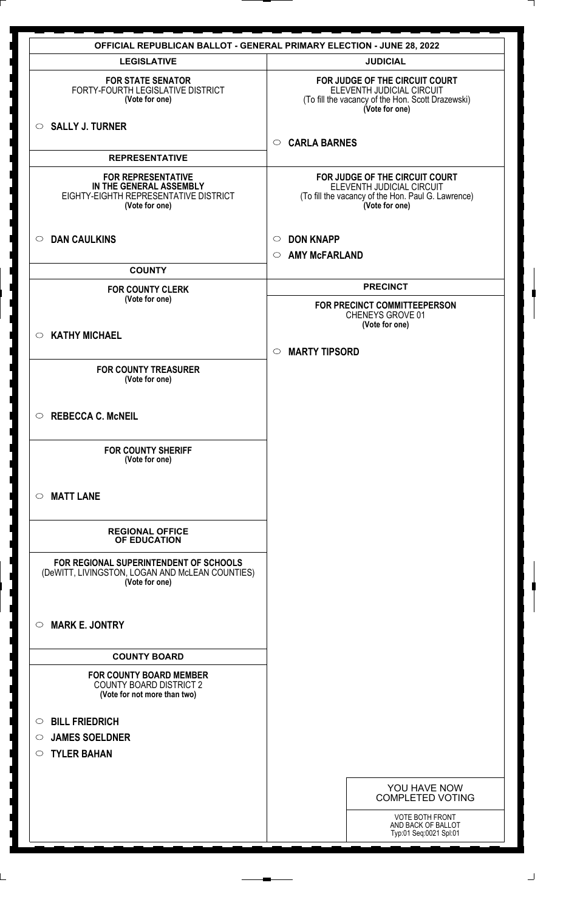|                                                                                                                 | <b>OFFICIAL REPUBLICAN BALLOT - GENERAL PRIMARY ELECTION - JUNE 28, 2022</b>                                                        |
|-----------------------------------------------------------------------------------------------------------------|-------------------------------------------------------------------------------------------------------------------------------------|
| <b>LEGISLATIVE</b>                                                                                              | <b>JUDICIAL</b>                                                                                                                     |
| <b>FOR STATE SENATOR</b><br>FORTY-FOURTH LEGISLATIVE DISTRICT<br>(Vote for one)                                 | FOR JUDGE OF THE CIRCUIT COURT<br>ELEVENTH JUDICIAL CIRCUIT<br>(To fill the vacancy of the Hon. Scott Drazewski)<br>(Vote for one)  |
| $\circ$ SALLY J. TURNER                                                                                         | <b>CARLA BARNES</b><br>$\circ$                                                                                                      |
| <b>REPRESENTATIVE</b>                                                                                           |                                                                                                                                     |
| <b>FOR REPRESENTATIVE</b><br>IN THE GENERAL ASSEMBLY<br>EIGHTY-EIGHTH REPRESENTATIVE DISTRICT<br>(Vote for one) | FOR JUDGE OF THE CIRCUIT COURT<br>ELEVENTH JUDICIAL CIRCUIT<br>(To fill the vacancy of the Hon. Paul G. Lawrence)<br>(Vote for one) |
| <b>DAN CAULKINS</b><br>$\circ$                                                                                  | <b>DON KNAPP</b><br>$\circ$<br><b>AMY McFARLAND</b><br>$\circ$                                                                      |
| <b>COUNTY</b>                                                                                                   |                                                                                                                                     |
| <b>FOR COUNTY CLERK</b>                                                                                         | <b>PRECINCT</b>                                                                                                                     |
| (Vote for one)                                                                                                  | FOR PRECINCT COMMITTEEPERSON<br>CHENEYS GROVE 01<br>(Vote for one)                                                                  |
| <b>KATHY MICHAEL</b><br>$\circ$                                                                                 |                                                                                                                                     |
|                                                                                                                 | <b>MARTY TIPSORD</b><br>$\circ$                                                                                                     |
| <b>FOR COUNTY TREASURER</b><br>(Vote for one)                                                                   |                                                                                                                                     |
| <b>REBECCA C. McNEIL</b><br>$\circ$                                                                             |                                                                                                                                     |
| <b>FOR COUNTY SHERIFF</b><br>(Vote for one)                                                                     |                                                                                                                                     |
| <b>MATT LANE</b><br>$\circ$                                                                                     |                                                                                                                                     |
| <b>REGIONAL OFFICE</b><br>OF EDUCATION                                                                          |                                                                                                                                     |
| FOR REGIONAL SUPERINTENDENT OF SCHOOLS<br>(DeWITT, LIVINGSTON, LOGAN AND McLEAN COUNTIES)<br>(Vote for one)     |                                                                                                                                     |
| <b>MARK E. JONTRY</b><br>$\circ$                                                                                |                                                                                                                                     |
| <b>COUNTY BOARD</b>                                                                                             |                                                                                                                                     |
| <b>FOR COUNTY BOARD MEMBER</b><br><b>COUNTY BOARD DISTRICT 2</b><br>(Vote for not more than two)                |                                                                                                                                     |
| <b>BILL FRIEDRICH</b><br>$\circ$                                                                                |                                                                                                                                     |
| <b>JAMES SOELDNER</b><br>$\circ$                                                                                |                                                                                                                                     |
| <b>TYLER BAHAN</b><br>$\circ$                                                                                   |                                                                                                                                     |
|                                                                                                                 |                                                                                                                                     |
|                                                                                                                 | YOU HAVE NOW<br><b>COMPLETED VOTING</b>                                                                                             |
|                                                                                                                 | VOTE BOTH FRONT<br>AND BACK OF BALLOT<br>Typ:01 Seq:0021 Spl:01                                                                     |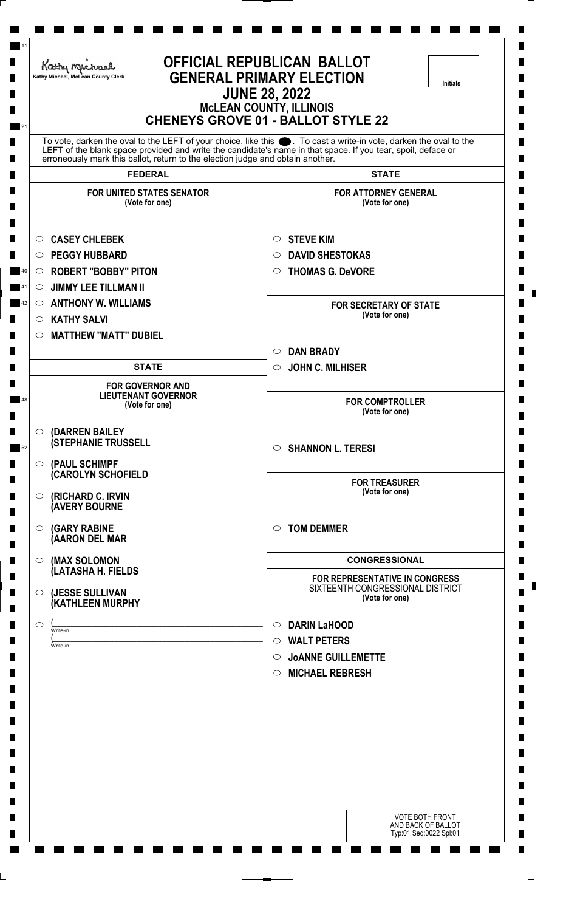| <b>OFFICIAL REPUBLICAN BALLOT</b><br>Kathy Michael<br><b>GENERAL PRIMARY ELECTION</b><br>Kathy Michael, McLean County Clerk<br><b>Initials</b><br><b>JUNE 28, 2022</b><br><b>MCLEAN COUNTY, ILLINOIS</b><br><b>CHENEYS GROVE 01 - BALLOT STYLE 22</b>                                                                     |                                                                         |                                                                                      |  |
|---------------------------------------------------------------------------------------------------------------------------------------------------------------------------------------------------------------------------------------------------------------------------------------------------------------------------|-------------------------------------------------------------------------|--------------------------------------------------------------------------------------|--|
| 21<br>To vote, darken the oval to the LEFT of your choice, like this ●. To cast a write-in vote, darken the oval to the<br>LEFT of the blank space provided and write the candidate's name in that space. If you tear, spoil, deface or<br>erroneously mark this ballot, return to the election judge and obtain another. |                                                                         |                                                                                      |  |
|                                                                                                                                                                                                                                                                                                                           | <b>FEDERAL</b>                                                          | <b>STATE</b>                                                                         |  |
|                                                                                                                                                                                                                                                                                                                           | <b>FOR UNITED STATES SENATOR</b><br>(Vote for one)                      | <b>FOR ATTORNEY GENERAL</b><br>(Vote for one)                                        |  |
| O.                                                                                                                                                                                                                                                                                                                        | <b>CASEY CHLEBEK</b>                                                    | <b>STEVE KIM</b><br>$\circ$                                                          |  |
| $\circ$                                                                                                                                                                                                                                                                                                                   | <b>PEGGY HUBBARD</b>                                                    | <b>DAVID SHESTOKAS</b><br>O                                                          |  |
| $\circ$                                                                                                                                                                                                                                                                                                                   | <b>ROBERT "BOBBY" PITON</b>                                             | <b>THOMAS G. DeVORE</b><br>$\circ$                                                   |  |
| $\circ$                                                                                                                                                                                                                                                                                                                   | <b>JIMMY LEE TILLMAN II</b>                                             |                                                                                      |  |
| $\circ$                                                                                                                                                                                                                                                                                                                   | <b>ANTHONY W. WILLIAMS</b>                                              | <b>FOR SECRETARY OF STATE</b><br>(Vote for one)                                      |  |
| $\circ$                                                                                                                                                                                                                                                                                                                   | <b>KATHY SALVI</b>                                                      |                                                                                      |  |
| $\circ$                                                                                                                                                                                                                                                                                                                   | <b>MATTHEW "MATT" DUBIEL</b>                                            |                                                                                      |  |
|                                                                                                                                                                                                                                                                                                                           | <b>STATE</b>                                                            | <b>DAN BRADY</b><br>$\circ$<br><b>JOHN C. MILHISER</b><br>$\circ$                    |  |
|                                                                                                                                                                                                                                                                                                                           |                                                                         |                                                                                      |  |
|                                                                                                                                                                                                                                                                                                                           | <b>FOR GOVERNOR AND</b><br><b>LIEUTENANT GOVERNOR</b><br>(Vote for one) | <b>FOR COMPTROLLER</b><br>(Vote for one)                                             |  |
| $\circ$                                                                                                                                                                                                                                                                                                                   | (DARREN BAILEY<br><b>(STEPHANIE TRUSSELL</b>                            | <b>SHANNON L. TERESI</b><br>$\circ$                                                  |  |
| $\circ$                                                                                                                                                                                                                                                                                                                   | (PAUL SCHIMPF<br>(CAROLYN SCHOFIELD                                     |                                                                                      |  |
| $\circ$                                                                                                                                                                                                                                                                                                                   | (RICHARD C. IRVIN<br><b>AVERY BOURNE</b>                                | <b>FOR TREASURER</b><br>(Vote for one)                                               |  |
| $\circ$                                                                                                                                                                                                                                                                                                                   | <b>(GARY RABINE</b><br>(AARON DEL MAR                                   | <b>TOM DEMMER</b><br>$\circ$                                                         |  |
| $\circ$                                                                                                                                                                                                                                                                                                                   | (MAX SOLOMON<br>(LATASHA H. FIELDS                                      | <b>CONGRESSIONAL</b>                                                                 |  |
| $\circ$                                                                                                                                                                                                                                                                                                                   | (JESSE SULLIVAN<br>(KATHLEEN MURPHY                                     | FOR REPRESENTATIVE IN CONGRESS<br>SIXTEENTH CONGRESSIONAL DISTRICT<br>(Vote for one) |  |
| $\circ$                                                                                                                                                                                                                                                                                                                   |                                                                         | <b>DARIN LaHOOD</b><br>$\circ$                                                       |  |
|                                                                                                                                                                                                                                                                                                                           | Write-in<br>Write-in                                                    | <b>WALT PETERS</b><br>$\circ$                                                        |  |
|                                                                                                                                                                                                                                                                                                                           |                                                                         | <b>JOANNE GUILLEMETTE</b><br>$\circ$                                                 |  |
|                                                                                                                                                                                                                                                                                                                           |                                                                         | <b>MICHAEL REBRESH</b><br>$\circ$                                                    |  |
|                                                                                                                                                                                                                                                                                                                           |                                                                         |                                                                                      |  |
|                                                                                                                                                                                                                                                                                                                           |                                                                         |                                                                                      |  |
|                                                                                                                                                                                                                                                                                                                           |                                                                         |                                                                                      |  |
|                                                                                                                                                                                                                                                                                                                           |                                                                         |                                                                                      |  |
|                                                                                                                                                                                                                                                                                                                           |                                                                         |                                                                                      |  |
|                                                                                                                                                                                                                                                                                                                           |                                                                         |                                                                                      |  |
|                                                                                                                                                                                                                                                                                                                           |                                                                         | <b>VOTE BOTH FRONT</b>                                                               |  |

⅂